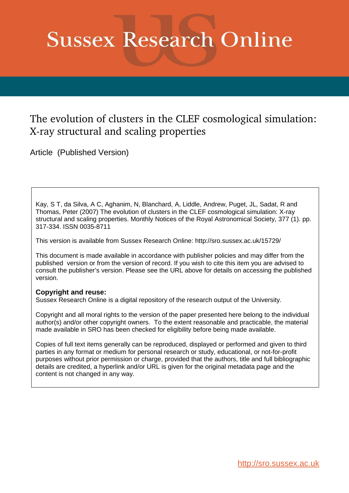# **Sussex Research Online**

# The evolution of clusters in the CLEF cosmological simulation: X-ray structural and scaling properties

Article (Published Version)

Kay, S T, da Silva, A C, Aghanim, N, Blanchard, A, Liddle, Andrew, Puget, JL, Sadat, R and Thomas, Peter (2007) The evolution of clusters in the CLEF cosmological simulation: X-ray structural and scaling properties. Monthly Notices of the Royal Astronomical Society, 377 (1). pp. 317-334. ISSN 0035-8711

This version is available from Sussex Research Online: http://sro.sussex.ac.uk/15729/

This document is made available in accordance with publisher policies and may differ from the published version or from the version of record. If you wish to cite this item you are advised to consult the publisher's version. Please see the URL above for details on accessing the published version.

## **Copyright and reuse:**

Sussex Research Online is a digital repository of the research output of the University.

Copyright and all moral rights to the version of the paper presented here belong to the individual author(s) and/or other copyright owners. To the extent reasonable and practicable, the material made available in SRO has been checked for eligibility before being made available.

Copies of full text items generally can be reproduced, displayed or performed and given to third parties in any format or medium for personal research or study, educational, or not-for-profit purposes without prior permission or charge, provided that the authors, title and full bibliographic details are credited, a hyperlink and/or URL is given for the original metadata page and the content is not changed in any way.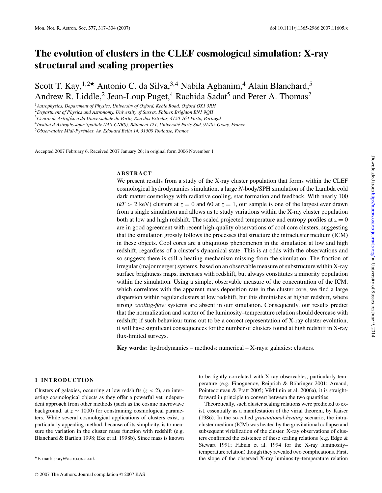## **The evolution of clusters in the CLEF cosmological simulation: X-ray structural and scaling properties**

Scott T. Kay,<sup>1,2★</sup> Antonio C. da Silva,<sup>3,4</sup> Nabila Aghanim,<sup>4</sup> Alain Blanchard,<sup>5</sup> Andrew R. Liddle,<sup>2</sup> Jean-Loup Puget,<sup>4</sup> Rachida Sadat<sup>5</sup> and Peter A. Thomas<sup>2</sup>

<sup>1</sup>*Astrophysics, Department of Physics, University of Oxford, Keble Road, Oxford OX1 3RH*

<sup>2</sup>*Department of Physics and Astronomy, University of Sussex, Falmer, Brighton BN1 9QH*

<sup>3</sup>*Centro de Astrof´ısica da Universidade do Porto, Rua das Estrelas, 4150-764 Porto, Portugal*

4 *Institut d'Astrophysique Spatiale (IAS-CNRS), Batiment 121, Universit ˆ e Paris-Sud, 91405 Orsay, France ´*

<sup>5</sup>*Observatoire Midi-Pyren´ ees, Av. Edouard Belin 14, 31500 Toulouse, France ´*

Accepted 2007 February 6. Received 2007 January 26; in original form 2006 November 1

#### **ABSTRACT**

We present results from a study of the X-ray cluster population that forms within the CLEF cosmological hydrodynamics simulation, a large *N*-body/SPH simulation of the Lambda cold dark matter cosmology with radiative cooling, star formation and feedback. With nearly 100  $(kT > 2 \text{ keV})$  clusters at  $z = 0$  and 60 at  $z = 1$ , our sample is one of the largest ever drawn from a single simulation and allows us to study variations within the X-ray cluster population both at low and high redshift. The scaled projected temperature and entropy profiles at  $z = 0$ are in good agreement with recent high-quality observations of cool core clusters, suggesting that the simulation grossly follows the processes that structure the intracluster medium (ICM) in these objects. Cool cores are a ubiquitous phenomenon in the simulation at low and high redshift, regardless of a cluster's dynamical state. This is at odds with the observations and so suggests there is still a heating mechanism missing from the simulation. The fraction of irregular (major merger) systems, based on an observable measure of substructure within X-ray surface brightness maps, increases with redshift, but always constitutes a minority population within the simulation. Using a simple, observable measure of the concentration of the ICM, which correlates with the apparent mass deposition rate in the cluster core, we find a large dispersion within regular clusters at low redshift, but this diminishes at higher redshift, where strong *cooling-flow* systems are absent in our simulation. Consequently, our results predict that the normalization and scatter of the luminosity–temperature relation should decrease with redshift; if such behaviour turns out to be a correct representation of X-ray cluster evolution, it will have significant consequences for the number of clusters found at high redshift in X-ray flux-limited surveys.

**Key words:** hydrodynamics – methods: numerical – X-rays: galaxies: clusters.

#### **1 INTRODUCTION**

Clusters of galaxies, occurring at low redshifts  $(z < 2)$ , are interesting cosmological objects as they offer a powerful yet independent approach from other methods (such as the cosmic microwave background, at *z* ∼ 1000) for constraining cosmological parameters. While several cosmological applications of clusters exist, a particularly appealing method, because of its simplicity, is to measure the variation in the cluster mass function with redshift (e.g. Blanchard & Bartlett 1998; Eke et al. 1998b). Since mass is known to be tightly correlated with X-ray observables, particularly temperature (e.g. Finoguenov, Reiprich & Böhringer 2001; Arnaud, Pointecouteau & Pratt 2005; Vikhlinin et al. 2006a), it is straightforward in principle to convert between the two quantities.

Theoretically, such cluster scaling relations were predicted to exist, essentially as a manifestation of the virial theorem, by Kaiser (1986). In the so-called *gravitational-heating* scenario, the intracluster medium (ICM) was heated by the gravitational collapse and subsequent virialization of the cluster. X-ray observations of clusters confirmed the existence of these scaling relations (e.g. Edge & Stewart 1991; Fabian et al. 1994 for the X-ray luminosity– temperature relation) though they revealed two complications. First, the slope of the observed X-ray luminosity–temperature relation

<sup>⋆</sup>E-mail: skay@astro.ox.ac.uk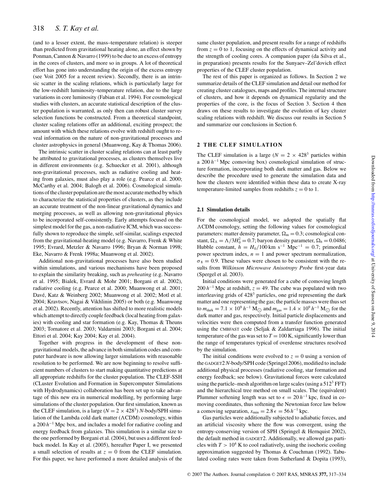### 318 *S. T. Kay et al.*

(and to a lesser extent, the mass–temperature relation) is steeper than predicted from gravitational heating alone, an effect shown by Ponman, Cannon & Navarro (1999) to be due to an excess of entropy in the cores of clusters, and more so in groups. A lot of theoretical effort has gone into understanding the origin of the excess entropy (see Voit 2005 for a recent review). Secondly, there is an intrinsic scatter in the scaling relations, which is particularly large for the low-redshift luminosity–temperature relation, due to the large variations in core luminosity (Fabian et al. 1994). For cosmological studies with clusters, an accurate statistical description of the cluster population is warranted, as only then can robust cluster survey selection functions be constructed. From a theoretical standpoint, cluster scaling relations offer an additional, exciting prospect; the amount with which these relations evolve with redshift ought to reveal information on the nature of non-gravitational processes and cluster astrophysics in general (Muanwong, Kay & Thomas 2006).

The intrinsic scatter in cluster scaling relations can at least partly be attributed to gravitational processes, as clusters themselves live in different environments (e.g. Schuecker et al. 2001), although non-gravitational processes, such as radiative cooling and heating from galaxies, must also play a role (e.g. Pearce et al. 2000; McCarthy et al. 2004; Balogh et al. 2006). Cosmological simulations of the cluster population are the most accurate method by which to characterize the statistical properties of clusters, as they include an accurate treatment of the non-linear gravitational dynamics and merging processes, as well as allowing non-gravitational physics to be incorporated self-consistently. Early attempts focused on the simplest model for the gas, a non-radiative ICM, which was successfully shown to reproduce the simple, self-similar, scalings expected from the gravitational-heating model (e.g. Navarro, Frenk & White 1995; Evrard, Metzler & Navarro 1996; Bryan & Norman 1998; Eke, Navarro & Frenk 1998a; Muanwong et al. 2002).

Additional non-gravitational processes have also been studied within simulations, and various mechanisms have been proposed to explain the similarity breaking, such as *preheating* (e.g. Navarro et al. 1995; Bialek, Evrard & Mohr 2001; Borgani et al. 2002), radiative cooling (e.g. Pearce et al. 2000; Muanwong et al. 2001; Davé, Katz & Weinberg 2002; Muanwong et al. 2002; Motl et al. 2004; Kravtsov, Nagai & Vikhlinin 2005) or both (e.g. Muanwong et al. 2002). Recently, attention has shifted to more realistic models which attempt to directly couple feedback (local heating from galaxies) with cooling and star formation (e.g. Kay, Thomas & Theuns 2003; Tornatore et al. 2003; Valdarnini 2003; Borgani et al. 2004; Ettori et al. 2004; Kay 2004; Kay et al. 2004).

Together with progress in the development of these nongravitational models, the advance in both simulation codes and computer hardware is now allowing larger simulations with reasonable resolution to be performed. We are now beginning to resolve sufficient numbers of clusters to start making quantitative predictions at all appropriate redshifts for the cluster population. The CLEF-SSH (CLuster Evolution and Formation in Supercomputer Simulations with Hydrodynamics) collaboration has been set up to take advantage of this new era in numerical modelling, by performing large simulations of the cluster population. Our first simulation, known as the CLEF simulation, is a large  $(N = 2 \times 428^3)$  *N*-body/SPH simulation of the Lambda cold dark matter ( $\Lambda$ CDM) cosmology, within a 200 *h*<sup>-1</sup> Mpc box, and includes a model for radiative cooling and energy feedback from galaxies. This simulation is a similar size to the one performed by Borgani et al. (2004), but uses a different feedback model. In Kay et al. (2005), hereafter Paper I, we presented a small selection of results at  $z = 0$  from the CLEF simulation. For this paper, we have performed a more detailed analysis of the

same cluster population, and present results for a range of redshifts from  $z = 0$  to 1, focusing on the effects of dynamical activity and the strength of cooling cores. A companion paper (da Silva et al., in preparation) presents results for the Sunyaev–Zel'dovich effect properties of the CLEF cluster population.

The rest of this paper is organized as follows. In Section 2 we summarize details of the CLEF simulation and detail our method for creating cluster catalogues, maps and profiles. The internal structure of clusters, and how it depends on dynamical regularity and the properties of the core, is the focus of Section 3. Section 4 then draws on these results to investigate the evolution of key cluster scaling relations with redshift. We discuss our results in Section 5 and summarize our conclusions in Section 6.

#### **2 THE CLEF SIMULATION**

The CLEF simulation is a large ( $N = 2 \times 428<sup>3</sup>$  particles within a 200 *h*<sup>-1</sup> Mpc comoving box) cosmological simulation of structure formation, incorporating both dark matter and gas. Below we describe the procedure used to generate the simulation data and how the clusters were identified within these data to create X-ray temperature-limited samples from redshifts  $z = 0$  to 1.

#### **2.1 Simulation details**

For the cosmological model, we adopted the spatially flat CDM cosmology, setting the following values for cosmological parameters: matter density parameter,  $\Omega_m = 0.3$ ; cosmological constant,  $\Omega_{\Lambda} = \Lambda/3H_0^2 = 0.7$ ; baryon density parameter,  $\Omega_{\rm b} = 0.0486$ ; Hubble constant,  $h = H_0/100 \text{ km s}^{-1} \text{ Mpc}^{-1} = 0.7$ ; primordial power spectrum index,  $n = 1$  and power spectrum normalization,  $\sigma_8 = 0.9$ . These values were chosen to be consistent with the results from *Wilkinson Microwave Anisotropy Probe* first-year data (Spergel et al. 2003).

Initial conditions were generated for a cube of comoving length  $200 h^{-1}$  Mpc at redshift,  $z = 49$ . The cube was populated with two interleaving grids of 428<sup>3</sup> particles, one grid representing the dark matter and one representing the gas; the particle masses were thus set to  $m_{\text{dark}} = 7.1 \times 10^9 h^{-1} \text{ M}_{\odot}$  and  $m_{\text{gas}} = 1.4 \times 10^9 h^{-1} \text{ M}_{\odot}$  for the dark matter and gas, respectively. Initial particle displacements and velocities were then computed from a transfer function generated using the CMBFAST code (Seljak & Zaldarriaga 1996). The initial temperature of the gas was set to  $T = 100$  K, significantly lower than the range of temperatures typical of overdense structures resolved by the simulation.

The initial conditions were evolved to  $z = 0$  using a version of the GADGET2*N*-body/SPH code (Springel 2006), modified to include additional physical processes (radiative cooling, star formation and energy feedback; see below). Gravitational forces were calculated using the particle–mesh algorithm on large scales (using a  $512<sup>3</sup>$  FFT) and the hierarchical tree method on small scales. The (equivalent) Plummer softening length was set to  $\epsilon = 20 h^{-1}$  kpc, fixed in comoving coordinates, thus softening the Newtonian force law below a comoving separation,  $x_{\text{min}} = 2.8 \epsilon = 56 h^{-1} \text{ kpc}.$ 

Gas particles were additionally subjected to adiabatic forces, and an artificial viscosity where the flow was convergent, using the entropy-conserving version of SPH (Springel & Hernquist 2002), the default method in GADGET2. Additionally, we allowed gas particles with  $T > 10^4$  K to cool radiatively, using the isochoric cooling approximation suggested by Thomas & Couchman (1992). Tabulated cooling rates were taken from Sutherland & Dopita (1993),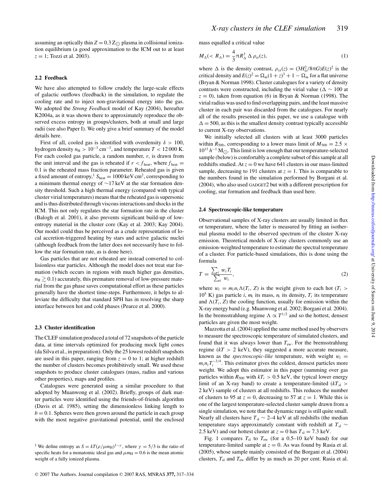assuming an optically thin  $Z = 0.3 Z_{\odot}$  plasma in collisional ionization equilibrium (a good approximation to the ICM out to at least  $z = 1$ ; Tozzi et al. 2003).

#### **2.2 Feedback**

We have also attempted to follow crudely the large-scale effects of galactic outflows (feedback) in the simulation, to regulate the cooling rate and to inject non-gravitational energy into the gas. We adopted the *Strong Feedback* model of Kay (2004), hereafter K2004a, as it was shown there to approximately reproduce the observed excess entropy in groups/clusters, both at small and large radii (see also Paper I). We only give a brief summary of the model details here.

First of all, cooled gas is identified with overdensity  $\delta > 100$ , hydrogen density  $n_{\rm H} > 10^{-3}$  cm<sup>-3</sup>, and temperature  $T < 12000$  K. For each cooled gas particle, a random number, *r*, is drawn from the unit interval and the gas is reheated if  $r < f_{\text{heat}}$ , where  $f_{\text{heat}} =$ 0.1 is the reheated mass fraction parameter. Reheated gas is given a fixed amount of entropy,<sup>1</sup>  $S_{\text{heat}} = 1000 \text{ keV cm}^2$ , corresponding to a minimum thermal energy of ∼17 keV at the star formation density threshold. Such a high thermal energy (compared with typical cluster virial temperatures) means that the reheated gas is supersonic and is thus distributed through viscous interactions and shocks in the ICM. This not only regulates the star formation rate in the cluster (Balogh et al. 2001), it also prevents significant build-up of lowentropy material in the cluster core (Kay et al. 2003; Kay 2004). Our model could thus be perceived as a crude representation of local accretion-triggered heating by stars and active galactic nuclei (although feedback from the latter does not necessarily have to follow the star formation rate, as is done here).

Gas particles that are not reheated are instead converted to collisionless star particles. Although the model does not treat star formation (which occurs in regions with much higher gas densities,  $n_{\rm H} \gtrsim 0.1$ ) accurately, this premature removal of low-pressure material from the gas phase saves computational effort as these particles generally have the shortest time-steps. Furthermore, it helps to alleviate the difficulty that standard SPH has in resolving the sharp interface between hot and cold phases (Pearce et al. 2000).

#### **2.3 Cluster identification**

The CLEF simulation produced a total of 72 snapshots of the particle data, at time intervals optimized for producing mock light cones (da Silva et al., in preparation). Only the 25 lowest redshift snapshots are used in this paper, ranging from  $z = 0$  to 1; at higher redshift the number of clusters becomes prohibitively small. We used these snapshots to produce cluster catalogues (mass, radius and various other properties), maps and profiles.

Catalogues were generated using a similar procedure to that adopted by Muanwong et al. (2002). Briefly, groups of dark matter particles were identified using the friends-of-friends algorithm (Davis et al. 1985), setting the dimensionless linking length to  $b = 0.1$ . Spheres were then grown around the particle in each group with the most negative gravitational potential, until the enclosed mass equalled a critical value

$$
M_{\Delta}(
$$

where  $\Delta$  is the density contrast,  $\rho_{cr}(z) = (3H_0^2/8\pi G)E(z)^2$  is the critical density and  $E(z)^2 = \Omega_m(1+z)^3 + 1 - \Omega_m$  for a flat universe (Bryan & Norman 1998). Cluster catalogues for a variety of density contrasts were constructed, including the virial value ( $\Delta \sim 100$  at  $z = 0$ ), taken from equation (6) in Bryan & Norman (1998). The virial radius was used to find overlapping pairs, and the least massive cluster in each pair was discarded from the catalogues. For nearly all of the results presented in this paper, we use a catalogue with  $\Delta = 500$ , as this is the smallest density contrast typically accessible to current X-ray observations.

We initially selected all clusters with at least 3000 particles within  $R_{500}$ , corresponding to a lower mass limit of  $M_{500} = 2.5 \times$  $10^{13} h^{-1}$  M<sub>O</sub>. This limit is low enough that our temperature-selected<br>contribution is consistably a squal to mixed of this count of all sample (below) is comfortably a complete subset of this sample at all redshifts studied. At  $z = 0$  we have 641 clusters in our mass-limited sample, decreasing to 191 clusters at  $z = 1$ . This is comparable to the numbers found in the simulation performed by Borgani et al. (2004), who also used GADGET2 but with a different prescription for cooling, star formation and feedback than used here.

#### **2.4 Spectroscopic-like temperature**

Observational samples of X-ray clusters are usually limited in flux or temperature, where the latter is measured by fitting an isothermal plasma model to the observed spectrum of the cluster X-ray emission. Theoretical models of X-ray clusters commonly use an emission-weighted temperature to estimate the spectral temperature of a cluster. For particle-based simulations, this is done using the formula

$$
T = \frac{\sum_{i} w_i T_i}{\sum_{i} w_i},\tag{2}
$$

where  $w_i = m_i n_i \Lambda(T_i, Z)$  is the weight given to each hot  $(T_i >$  $10^5$  K) gas particle *i*,  $m_i$  its mass,  $n_i$  its density,  $T_i$  its temperature and  $\Lambda(T_i, Z)$  the cooling function, usually for emission within the X-ray energy band (e.g. Muanwong et al. 2002; Borgani et al. 2004). In the bremsstrahlung regime  $\Lambda \propto T^{1/2}$  and so the hottest, densest particles are given the most weight.

Mazzotta et al. (2004) applied the same method used by observers to measure the spectroscopic temperature of simulated clusters, and found that it was always lower than  $T_{ew}$ . For the bremsstrahlung regime  $(kT > 2 \text{ keV})$ , they suggested a more accurate measure, known as the *spectroscopic-like* temperature, with weight  $w_i =$  $m_i n_i T_i^{-3/4}$ . This estimator gives the coldest, densest particles more weight. We adopt this estimator in this paper (summing over gas particles within  $R_{500}$  with  $kT_i > 0.5$  keV, the typical lower energy limit of an X-ray band) to create a temperature-limited  $(kT<sub>sl</sub>)$ 2 keV) sample of clusters at all redshifts. This reduces the number of clusters to 95 at  $z = 0$ , decreasing to 57 at  $z = 1$ . While this is one of the largest temperature-selected cluster sample drawn from a single simulation, we note that the dynamic range is still quite small. Nearly all clusters have *T*<sub>sl</sub> ∼ 2–4 keV at all redshifts (the median temperature stays approximately constant with redshift at  $T_{sl} \sim$ 2.5 keV) and our hottest cluster at  $z = 0$  has  $T_{sl} = 7.3$  keV.

Fig. 1 compares  $T_{\rm sl}$  to  $T_{\rm ew}$  (for a 0.5–10 keV band) for our temperature-limited sample at  $z = 0$ . As was found by Rasia et al. (2005), whose sample mainly consisted of the Borgani et al. (2004) clusters,  $T_{sl}$  and  $T_{ew}$  differ by as much as 20 per cent. Rasia et al.

<sup>&</sup>lt;sup>1</sup> We define entropy as  $S = kT(\rho/\mu m_H)^{1-\gamma}$ , where  $\gamma = 5/3$  is the ratio of specific heats for a monatomic ideal gas and  $\mu m_H = 0.6$  is the mean atomic weight of a fully ionized plasma.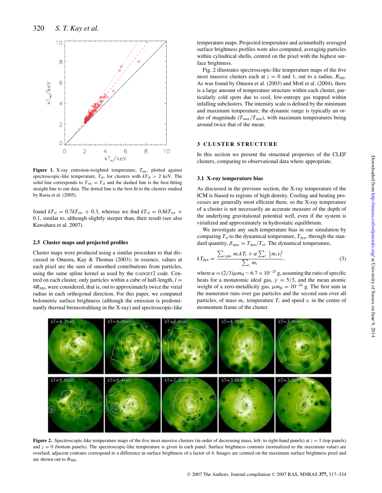

**Figure 1.** X-ray emission-weighted temperature, *T*ew, plotted against spectroscopic-like temperature,  $T_{\rm sl}$ , for clusters with  $kT_{\rm sl} > 2$  keV. The solid line corresponds to  $T_{ew} = T_{sl}$  and the dashed line is the best-fitting straight line to our data. The dotted line is the best fit to the clusters studied by Rasia et al. (2005).

found  $kT_{sl} = 0.7kT_{ew} + 0.3$ , whereas we find  $kT_{sl} = 0.8kT_{ew} +$ 0.1, similar to, although slightly steeper than, their result (see also Kawahara et al. 2007).

#### **2.5 Cluster maps and projected profiles**

Cluster maps were produced using a similar procedure to that discussed in Onuora, Kay & Thomas (2003); in essence, values at each pixel are the sum of smoothed contributions from particles, using the same spline kernel as used by the GADGET2 code. Centred on each cluster, only particles within a cube of half-length,  $l =$ 4*R*500, were considered, that is, out to approximately twice the virial radius in each orthogonal direction. For this paper, we computed bolometric surface brightness (although the emission is predominantly thermal bremsstrahlung in the X-ray) and spectroscopic-like

temperature maps. Projected temperature and azimuthally averaged surface brightness profiles were also computed, averaging particles within cylindrical shells, centred on the pixel with the highest surface brightness.

Fig. 2 illustrates spectroscopic-like temperature maps of the five most massive clusters each at  $z = 0$  and 1, out to a radius,  $R_{500}$ . As was found by Onuora et al. (2003) and Motl et al. (2004), there is a large amount of temperature structure within each cluster, particularly cold spots due to cool, low-entropy gas trapped within infalling subclusters. The intensity scale is defined by the minimum and maximum temperature; the dynamic range is typically an order of magnitude  $(T_{\text{max}}/T_{\text{min}})$ , with maximum temperatures being around twice that of the mean.

#### **3 CLUSTER STRUCTURE**

In this section we present the structural properties of the CLEF clusters, comparing to observational data where appropriate.

#### **3.1 X-ray temperature bias**

As discussed in the previous section, the X-ray temperature of the ICM is biased to regions of high density. Cooling and heating processes are generally most efficient there, so the X-ray temperature of a cluster is not necessarily an accurate measure of the depth of the underlying gravitational potential well, even if the system is virialized and approximately in hydrostatic equilibrium.

We investigate any such temperature bias in our simulation by comparing  $T_{sl}$  to the dynamical temperature,  $T_{dyn}$ , through the standard quantity,  $\beta_{\text{spec}} = T_{\text{dyn}}/T_{\text{sl}}$ . The dynamical temperature,

$$
kT_{\rm dyn} = \frac{\sum_{i,\rm gas} m_i k T_i + \alpha \sum_i \frac{1}{2} m_i v_i^2}{\sum_i m_i},\tag{3}
$$

where  $\alpha = (2/3)\mu m_H \sim 6.7 \times 10^{-25}$  g, assuming the ratio of specific heats for a monatomic ideal gas,  $\gamma = 5/3$ , and the mean atomic weight of a zero-metallicity gas,  $\mu m_H = 10^{-24}$  g. The first sum in the numerator runs over gas particles and the second sum over all particles, of mass  $m_i$ , temperature  $T_i$  and speed  $v_i$  in the centre of momentum frame of the cluster.



**Figure 2.** Spectroscopic-like temperature maps of the five most massive clusters (in order of decreasing mass, left- to right-hand panels) at  $z = 1$  (top panels) and  $z = 0$  (bottom panels). The spectroscopic-like temperature is given in each panel. Surface brightness contours (normalized to the maximum value) are overlaid; adjacent contours correspond to a difference in surface brightness of a factor of 4. Images are centred on the maximum surface brightness pixel and are shown out to  $R_{500}$ .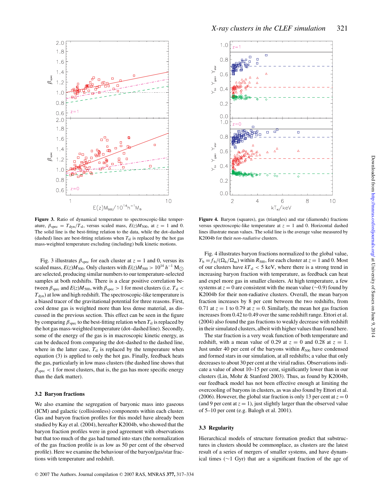

**Figure 3.** Ratio of dynamical temperature to spectroscopic-like temperature,  $\beta_{\text{spec}} = T_{\text{dyn}}/T_{\text{sl}}$ , versus scaled mass,  $E(z)M_{500}$ , at  $z = 1$  and 0. The solid line is the best-fitting relation to the data, while the dot–dashed (dashed) lines are best-fitting relations when  $T_{\rm sl}$  is replaced by the hot gas mass-weighted temperature excluding (including) bulk kinetic motions.

Fig. 3 illustrates  $\beta_{\text{spec}}$  for each cluster at  $z = 1$  and 0, versus its scaled mass,  $E(z)M_{500}$ . Only clusters with  $E(z)M_{500} > 10^{14} h^{-1} M_{\odot}$ are selected, producing similar numbers to our temperature-selected samples at both redshifts. There is a clear positive correlation between  $\beta_{\text{spec}}$  and  $E(z)M_{500}$ , with  $\beta_{\text{spec}} > 1$  for most clusters (i.e.  $T_{\text{sl}} <$  $T<sub>dyn</sub>$ ) at low and high redshift. The spectroscopic-like temperature is a biased tracer of the gravitational potential for three reasons. First, cool dense gas is weighted more than less dense material, as discussed in the previous section. This effect can be seen in the figure by comparing  $\beta_{\text{spec}}$  to the best-fitting relation when  $T_{\text{sl}}$  is replaced by the hot gas mass-weighted temperature (dot–dashed line). Secondly, some of the energy of the gas is in macroscopic kinetic energy, as can be deduced from comparing the dot–dashed to the dashed line, where in the latter case,  $T_{sl}$  is replaced by the temperature when equation (3) is applied to only the hot gas. Finally, feedback heats the gas, particularly in low mass clusters (the dashed line shows that  $\beta_{\rm spec}$  < 1 for most clusters, that is, the gas has more specific energy than the dark matter).

#### **3.2 Baryon fractions**

We also examine the segregation of baryonic mass into gaseous (ICM) and galactic (collisionless) components within each cluster. Gas and baryon fraction profiles for this model have already been studied by Kay et al. (2004), hereafter K2004b, who showed that the baryon fraction profiles were in good agreement with observations but that too much of the gas had turned into stars (the normalization of the gas fraction profile is as low as 50 per cent of the observed profile). Here we examine the behaviour of the baryon/gas/star fractions with temperature and redshift.



**Figure 4.** Baryon (squares), gas (triangles) and star (diamonds) fractions versus spectroscopic-like temperature at  $z = 1$  and 0. Horizontal dashed lines illustrate mean values. The solid line is the average value measured by K2004b for their *non-radiative* clusters.

Fig. 4 illustrates baryon fractions normalized to the global value,  $Y_{\rm b} = f_{\rm b}/(\Omega_{\rm b}/\Omega_{\rm m})$  within  $R_{500}$ , for each cluster at  $z = 1$  and 0. Most of our clusters have  $kT_{sl} < 5$  keV, where there is a strong trend in increasing baryon fraction with temperature, as feedback can heat and expel more gas in smaller clusters. At high temperature, a few systems at  $z = 0$  are consistent with the mean value ( $\sim$ 0.9) found by K2004b for their non-radiative clusters. Overall, the mean baryon fraction increases by 8 per cent between the two redshifts, from 0.71 at  $z = 1$  to 0.79 at  $z = 0$ . Similarly, the mean hot gas fraction increases from 0.42 to 0.49 over the same redshift range. Ettori et al. (2004) also found the gas fractions to weakly decrease with redshift in their simulated clusters, albeit with higher values than found here.

The star fraction is a very weak function of both temperature and redshift, with a mean value of 0.29 at  $z = 0$  and 0.28 at  $z = 1$ . Just under 40 per cent of the baryons within  $R_{500}$  have condensed and formed stars in our simulation, at all redshifts; a value that only decreases to about 30 per cent at the virial radius. Observations indicate a value of about 10–15 per cent, significantly lower than in our clusters (Lin, Mohr & Stanford 2003). Thus, as found by K2004b, our feedback model has not been effective enough at limiting the overcooling of baryons in clusters, as was also found by Ettori et al. (2006). However, the global star fraction is only 13 per cent at  $z = 0$ (and 9 per cent at  $z = 1$ ), just slightly larger than the observed value of 5–10 per cent (e.g. Balogh et al. 2001).

#### **3.3 Regularity**

Hierarchical models of structure formation predict that substructures in clusters should be commonplace, as clusters are the latest result of a series of mergers of smaller systems, and have dynamical times (∼1 Gyr) that are a significant fraction of the age of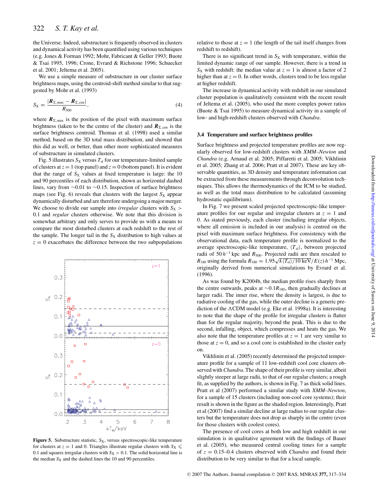the Universe. Indeed, substructure is frequently observed in clusters and dynamical activity has been quantified using various techniques (e.g. Jones & Forman 1992; Mohr, Fabricant & Geller 1993; Buote & Tsai 1995, 1996; Crone, Evrard & Richstone 1996; Schuecker et al. 2001; Jeltema et al. 2005).

We use a simple measure of substructure in our cluster surface brightness maps, using the centroid-shift method similar to that suggested by Mohr et al. (1993)

$$
S_X = \frac{|\boldsymbol{R}_{\Sigma,\text{max}} - \boldsymbol{R}_{\Sigma,\text{cen}}|}{R_{500}},
$$
\n(4)

where  $R_{\Sigma, \text{max}}$  is the position of the pixel with maximum surface brightness (taken to be the centre of the cluster) and  $\mathbf{R}_{\Sigma,\text{cen}}$  is the surface brightness centroid. Thomas et al. (1998) used a similar method, based on the 3D total mass distribution, and showed that this did as well, or better, than other more sophisticated measures of substructure in simulated clusters.

Fig. 5 illustrates  $S_X$  versus  $T_{sl}$  for our temperature-limited sample of clusters at  $z = 1$  (top panel) and  $z = 0$  (bottom panel). It is evident that the range of  $S_X$  values at fixed temperature is large: the 10 and 90 percentiles of each distribution, shown as horizontal dashed lines, vary from ∼0.01 to ∼0.15. Inspection of surface brightness maps (see Fig. 6) reveals that clusters with the largest  $S_X$  appear dynamically disturbed and are therefore undergoing a major merger. We choose to divide our sample into *irregular* clusters with  $S_X$ 0.1 and *regular* clusters otherwise. We note that this division is somewhat arbitrary and only serves to provide us with a means to compare the most disturbed clusters at each redshift to the rest of the sample. The longer tail in the  $S_X$  distribution to high values at  $z = 0$  exacerbates the difference between the two subpopulations



**Figure 5.** Substructure statistic,  $S_X$ , versus spectroscopic-like temperature for clusters at  $z = 1$  and 0. Triangles illustrate regular clusters with  $S_X \leq$ 0.1 and squares irregular clusters with  $S_X > 0.1$ . The solid horizontal line is the median  $S_X$  and the dashed lines the 10 and 90 percentiles.

relative to those at  $z = 1$  (the length of the tail itself changes from redshift to redshift).

There is no significant trend in  $S_X$  with temperature, within the limited dynamic range of our sample. However, there is a trend in  $S_X$  with redshift: the median value at  $z = 1$  is almost a factor of 2 higher than at  $z = 0$ . In other words, clusters tend to be less regular at higher redshift.

The increase in dynamical activity with redshift in our simulated cluster population is qualitatively consistent with the recent result of Jeltema et al. (2005), who used the more complex power ratios (Buote & Tsai 1995) to measure dynamical activity in a sample of low- and high-redshift clusters observed with *Chandra*.

#### **3.4 Temperature and surface brightness profiles**

Surface brightness and projected temperature profiles are now regularly observed for low-redshift clusters with *XMM–Newton* and *Chandra* (e.g. Arnaud et al. 2005; Piffaretti et al. 2005; Vikhlinin et al. 2005; Zhang et al. 2006; Pratt et al 2007). These are key observable quantities, as 3D density and temperature information can be extracted from these measurements through deconvolution techniques. This allows the thermodynamics of the ICM to be studied, as well as the total mass distribution to be calculated (assuming hydrostatic equilibrium).

In Fig. 7 we present scaled projected spectroscopic-like temperature profiles for our regular and irregular clusters at  $z = 1$  and 0. As stated previously, each cluster (including irregular objects, where all emission is included in our analysis) is centred on the pixel with maximum surface brightness. For consistency with the observational data, each temperature profile is normalized to the average spectroscopic-like temperature,  $\langle T_{\rm sl} \rangle$ , between projected radii of  $50 h^{-1}$  kpc and  $R_{500}$ . Projected radii are then rescaled to *R*<sub>180</sub> using the formula  $R_{180} = 1.95\sqrt{k \langle T_{\rm sl}\rangle/10 \text{ keV}}/E(z) h^{-1} \text{ Mpc}$ , originally derived from numerical simulations by Evrard et al. (1996).

As was found by K2004b, the median profile rises sharply from the centre outwards, peaks at ∼0.1*R*180, then gradually declines at larger radii. The inner rise, where the density is largest, is due to radiative cooling of the gas, while the outer decline is a generic prediction of the ACDM model (e.g. Eke et al. 1998a). It is interesting to note that the shape of the profile for irregular clusters is flatter than for the regular majority, beyond the peak. This is due to the second, infalling, object, which compresses and heats the gas. We also note that the temperature profiles at  $z = 1$  are very similar to those at  $z = 0$ , and so a cool core is established in the cluster early on.

Vikhlinin et al. (2005) recently determined the projected temperature profile for a sample of 11 low-redshift cool core clusters observed with*Chandra*. The shape of their profile is very similar, albeit slightly steeper at large radii, to that of our regular clusters; a rough fit, as supplied by the authors, is shown in Fig. 7 as thick solid lines. Pratt et al (2007) performed a similar study with *XMM–Newton*, for a sample of 15 clusters (including non-cool core systems); their result is shown in the figure as the shaded region. Interestingly, Pratt et al (2007) find a similar decline at large radius to our regular clusters but the temperature does not drop as sharply in the centre (even for those clusters with coolest cores).

The presence of cool cores at both low and high redshift in our simulation is in qualitative agreement with the findings of Bauer et al. (2005), who measured central cooling times for a sample of  $z = 0.15-0.4$  clusters observed with *Chandra* and found their distribution to be very similar to that for a local sample.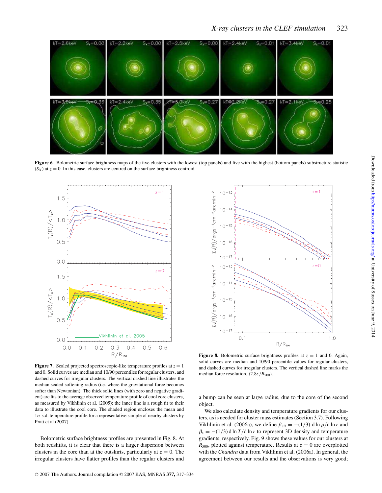

Figure 6. Bolometric surface brightness maps of the five clusters with the lowest (top panels) and five with the highest (bottom panels) substructure statistic  $(S_X)$  at  $z = 0$ . In this case, clusters are centred on the surface brightness centroid.



**Figure 7.** Scaled projected spectroscopic-like temperature profiles at  $z = 1$ and 0. Solid curves are median and 10/90 percentiles for regular clusters, and dashed curves for irregular clusters. The vertical dashed line illustrates the median scaled softening radius (i.e. where the gravitational force becomes softer than Newtonian). The thick solid lines (with zero and negative gradient) are fits to the average observed temperature profile of cool core clusters, as measured by Vikhlinin et al. (2005); the inner line is a rough fit to their data to illustrate the cool core. The shaded region encloses the mean and  $1\sigma$  s.d. temperature profile for a representative sample of nearby clusters by Pratt et al (2007).

Bolometric surface brightness profiles are presented in Fig. 8. At both redshifts, it is clear that there is a larger dispersion between clusters in the core than at the outskirts, particularly at  $z = 0$ . The irregular clusters have flatter profiles than the regular clusters and



**Figure 8.** Bolometric surface brightness profiles at  $z = 1$  and 0. Again, solid curves are median and 10/90 percentile values for regular clusters, and dashed curves for irregular clusters. The vertical dashed line marks the median force resolution,  $\langle 2.8 \epsilon / R_{500} \rangle$ .

a bump can be seen at large radius, due to the core of the second object.

We also calculate density and temperature gradients for our clusters, as is needed for cluster mass estimates (Section 3.7). Following Vikhlinin et al. (2006a), we define  $\beta_{\text{eff}} = -(1/3) \, \text{d} \ln \rho / \text{d} \ln r$  and  $\beta_t = -(1/3) d \ln T / d \ln r$  to represent 3D density and temperature gradients, respectively. Fig. 9 shows these values for our clusters at  $R_{500}$ , plotted against temperature. Results at  $z = 0$  are overplotted with the *Chandra* data from Vikhlinin et al. (2006a). In general, the agreement between our results and the observations is very good;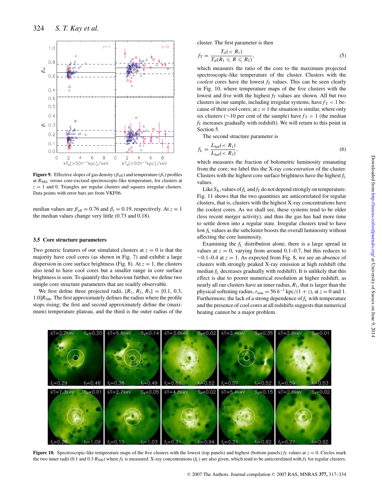

**Figure 9.** Effective slopes of gas density ( $\beta$ <sub>eff</sub>) and temperature ( $\beta$ <sub>t</sub>) profiles at  $R_{500}$ , versus core-excised spectroscopic-like temperature, for clusters at  $z = 1$  and 0. Triangles are regular clusters and squares irregular clusters. Data points with error bars are from VKF06.

median values are  $\beta_{\text{eff}} = 0.76$  and  $\beta_t = 0.19$ , respectively. At  $z = 1$ the median values change very little (0.73 and 0.18).

#### **3.5 Core structure parameters**

Two generic features of our simulated clusters at  $z = 0$  is that the majority have cool cores (as shown in Fig. 7) and exhibit a large dispersion in core surface brightness (Fig. 8). At  $z = 1$ , the clusters also tend to have cool cores but a smaller range in core surface brightness is seen. To quantify this behaviour further, we define two simple core structure parameters that are readily observable.

We first define three projected radii,  $[R_1, R_2, R_3] = [0.1, 0.3,$  $1.0$ ] $R<sub>500</sub>$ . The first approximately defines the radius where the profile stops rising; the first and second approximately define the (maximum) temperature plateau, and the third is the outer radius of the cluster. The first parameter is then

$$
f_{\rm T} = \frac{T_{\rm sl}(
$$

which measures the ratio of the core to the maximum projected spectroscopic-like temperature of the cluster. Clusters with the *coolest* cores have the lowest  $f<sub>T</sub>$  values. This can be seen clearly in Fig. 10, where temperature maps of the five clusters with the lowest and five with the highest  $f<sub>T</sub>$  values are shown. All but two clusters in our sample, including irregular systems, have  $f<sub>T</sub> < 1$  because of their cool cores; at  $z = 1$  the situation is similar, where only six clusters (∼10 per cent of the sample) have  $f<sub>T</sub> > 1$  (the median  $f<sub>T</sub>$  increases gradually with redshift). We will return to this point in Section 5.

The second structure parameter is

$$
f_{\rm L} = \frac{L_{\rm bol}(
$$

which measures the fraction of bolometric luminosity emanating from the core; we label this the X-ray *concentration* of the cluster. Clusters with the highest core surface brightness have the highest  $f_L$ values.

Like  $S_X$ , values of  $f_L$  and  $f_T$  do not depend strongly on temperature. Fig. 11 shows that the two quantities are anticorrelated for regular clusters, that is, clusters with the highest X-ray concentrations have the coolest cores. As we shall see, these systems tend to be older (less recent merger activity), and thus the gas has had more time to settle down into a regular state. Irregular clusters tend to have low  $f_L$  values as the subcluster boosts the overall luminosity without affecting the core luminosity.

Examining the *f*<sup>L</sup> distribution alone, there is a large spread in values at  $z = 0$ , varying from around 0.1–0.7, but this reduces to  $\sim$ 0.1–0.4 at  $z = 1$ . As expected from Fig. 8, we see an absence of clusters with strongly peaked X-ray emission at high redshift (the median  $f_L$  decreases gradually with redshift). It is unlikely that this effect is due to poorer numerical resolution at higher redshift, as nearly all our clusters have an inner radius, *R*1, that is larger than the physical softening radius,  $r_{\text{min}} = 56 h^{-1} \text{ kpc} / (1 + z)$ , at  $z = 0$  and 1. Furthermore, the lack of a strong dependence of *f*<sup>L</sup> with temperature and the presence of cool cores at all redshifts suggests that numerical heating cannot be a major problem.



**Figure 10.** Spectroscopic-like temperature maps of the five clusters with the lowest (top panels) and highest (bottom panels)  $f_T$  values at  $z = 0$ . Circles mark the two inner radii (0.1 and 0.3  $R_{500}$ ) where  $f_T$  is measured. X-ray concentrations ( $f_L$ ) are also given, which tend to be anticorrelated with  $f_T$  for regular clusters.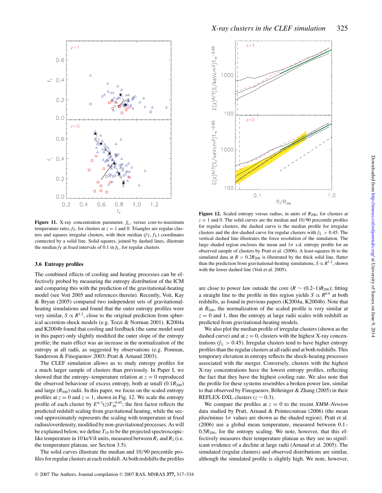

**Figure 11.** X-ray concentration parameter, *f*L, versus core-to-maximum temperature ratio,  $f_T$ , for clusters at  $z = 1$  and 0. Triangles are regular clusters and squares irregular clusters, with their median  $(f<sub>T</sub>, f<sub>L</sub>)$  coordinates connected by a solid line. Solid squares, joined by dashed lines, illustrate the median  $f_T$  at fixed intervals of 0.1 in  $f_L$ , for regular clusters.

#### **3.6 Entropy profiles**

The combined effects of cooling and heating processes can be effectively probed by measuring the entropy distribution of the ICM and comparing this with the prediction of the gravitational-heating model (see Voit 2005 and references therein). Recently, Voit, Kay & Bryan (2005) compared two independent sets of gravitationalheating simulations and found that the outer entropy profiles were very similar,  $S \propto R^{1.2}$ , close to the original prediction from spherical accretion-shock models (e.g. Tozzi & Norman 2001). K2004a and K2004b found that cooling and feedback (the same model used in this paper) only slightly modified the outer slope of the entropy profile; the main effect was an increase in the normalization of the entropy at all radii, as suggested by observations (e.g. Ponman, Sanderson & Finoguenov 2003; Pratt & Arnaud 2003).

The CLEF simulation allows us to study entropy profiles for a much larger sample of clusters than previously. In Paper I, we showed that the entropy–temperature relation at  $z = 0$  reproduced the observed behaviour of excess entropy, both at small  $(0.1R_{200})$ and large  $(R_{500})$  radii. In this paper, we focus on the scaled entropy profiles at  $z = 0$  and  $z = 1$ , shown in Fig. 12. We scale the entropy profile of each cluster by  $E^{4/3}(z)T_{10}^{-0.65}$ ; the first factor reflects the predicted redshift scaling from gravitational heating, while the second approximately represents the scaling with temperature at fixed radius/overdensity, modified by non-gravitational processes. As will be explained below, we define  $T_{10}$  to be the projected spectroscopiclike temperature in 10 keV/*k* units, measured between  $R_1$  and  $R_2$  (i.e. the temperature plateau, see Section 3.5).

The solid curves illustrate the median and 10/90 percentile profiles for regular clusters at each redshift. At both redshifts the profiles



**Figure 12.** Scaled entropy versus radius, in units of  $R_{200}$ , for clusters at  $z = 1$  and 0. The solid curves are the median and  $10/90$  percentile profiles for regular clusters, the dashed curve is the median profile for irregular clusters and the dot–dashed curve for regular clusters with  $f<sub>L</sub> > 0.45$ . The vertical dashed line illustrates the force resolution of the simulation. The large shaded region encloses the mean and  $1\sigma$  s.d. entropy profile for an observed sample of clusters by Pratt et al. (2006). A least-squares fit to the simulated data at  $R > 0.2R_{200}$  is illustrated by the thick solid line, flatter than the prediction from gravitational-heating simulations,  $S \propto R^{1.2}$ , shown with the lower dashed line (Voit et al. 2005).

are close to power law outside the core ( $R \sim (0.2-1)R_{200}$ ); fitting a straight line to the profile in this region yields  $S \propto R^{0.9}$  at both redshifts, as found in previous papers (K2004a, K2004b). Note that at  $R_{500}$ , the normalization of the scaled profile is very similar at  $z = 0$  and 1, thus the entropy at large radii scales with redshift as predicted from gravitational-heating models.

We also plot the median profile of irregular clusters (shown as the dashed curve) and at  $z = 0$ , clusters with the highest X-ray concentrations  $(f_L > 0.45)$ . Irregular clusters tend to have higher entropy profiles than the regular clusters at all radii and at both redshifts. This temporary elevation in entropy reflects the shock-heating processes associated with the merger. Conversely, clusters with the highest X-ray concentrations have the lowest entropy profiles, reflecting the fact that they have the highest cooling rate. We also note that the profile for these systems resembles a broken power law, similar to that observed by Finoguenov, Böhringer & Zhang (2005) in their REFLEX-DXL clusters  $(z \sim 0.3)$ .

We compare the profiles at  $z = 0$  to the recent *XMM–Newton* data studied by Pratt, Arnaud & Pointecouteau (2006) (the mean plus/minus  $1\sigma$  values are shown as the shaded region). Pratt et al. (2006) use a global mean temperature, measured between 0.1–  $0.5R<sub>200</sub>$ , for the entropy scaling. We note, however, that this effectively measures their temperature plateau as they see no significant evidence of a decline at large radii (Arnaud et al. 2005). The simulated (regular clusters) and observed distributions are similar, although the simulated profile is slightly high. We note, however,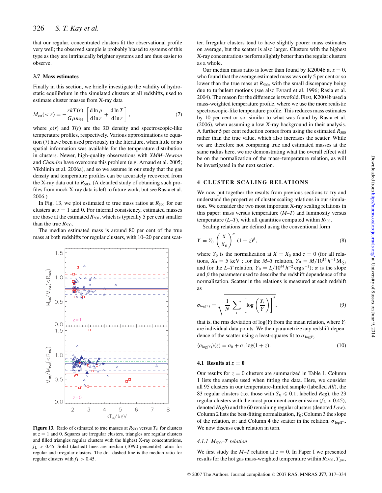that our regular, concentrated clusters fit the observational profile very well; the observed sample is probably biased to systems of this type as they are intrinsically brighter systems and are thus easier to observe.

#### **3.7 Mass estimates**

Finally in this section, we briefly investigate the validity of hydrostatic equilibrium in the simulated clusters at all redshifts, used to estimate cluster masses from X-ray data

$$
M_{\rm est}(
$$

where  $\rho(r)$  and  $T(r)$  are the 3D density and spectroscopic-like temperature profiles, respectively. Various approximations to equation (7) have been used previously in the literature, when little or no spatial information was available for the temperature distribution in clusters. Newer, high-quality observations with *XMM–Newton* and *Chandra* have overcome this problem (e.g. Arnaud et al. 2005; Vikhlinin et al. 2006a), and so we assume in our study that the gas density and temperature profiles can be accurately recovered from the X-ray data out to  $R_{500}$ . (A detailed study of obtaining such profiles from mock X-ray data is left to future work, but see Rasia et al. 2006.)

In Fig. 13, we plot estimated to true mass ratios at  $R_{500}$  for our clusters at  $z = 1$  and 0. For internal consistency, estimated masses are those at the estimated  $R_{500}$ , which is typically 5 per cent smaller than the true  $R_{500}$ .

The median estimated mass is around 80 per cent of the true mass at both redshifts for regular clusters, with 10–20 per cent scat-



**Figure 13.** Ratio of estimated to true masses at  $R_{500}$  versus  $T_{\rm sl}$  for clusters at  $z = 1$  and 0. Squares are irregular clusters, triangles are regular clusters and filled triangles regular clusters with the highest X-ray concentrations,  $f<sub>L</sub> > 0.45$ . Solid (dashed) lines are median (10/90 percentile) ratios for regular and irregular clusters. The dot–dashed line is the median ratio for regular clusters with  $f<sub>L</sub> > 0.45$ .

ter. Irregular clusters tend to have slightly poorer mass estimates on average, but the scatter is also larger. Clusters with the highest X-ray concentrations perform slightly better than the regular clusters as a whole.

Our median mass ratio is lower than found by K2004b at  $z = 0$ , who found that the average estimated mass was only 5 per cent or so lower than the true mass at  $R_{500}$ , with the small discrepancy being due to turbulent motions (see also Evrard et al. 1996; Rasia et al. 2004). The reason for the difference is twofold. First, K2004b used a mass-weighted temperature profile, where we use the more realistic spectroscopic-like temperature profile. This reduces mass estimates by 10 per cent or so, similar to what was found by Rasia et al. (2006), when assuming a low X-ray background in their analysis. A further 5 per cent reduction comes from using the estimated  $R_{500}$ rather than the true value, which also increases the scatter. While we are therefore not comparing true and estimated masses at the same radius here, we are demonstrating what the overall effect will be on the normalization of the mass–temperature relation, as will be investigated in the next section.

#### **4 CLUSTER SCALING RELATIONS**

We now put together the results from previous sections to try and understand the properties of cluster scaling relations in our simulation. We consider the two most important X-ray scaling relations in this paper: mass versus temperature (*M*–*T*) and luminosity versus temperature  $(L-T)$ , with all quantities computed within  $R_{500}$ .

Scaling relations are defined using the conventional form

$$
Y = Y_0 \left(\frac{X}{X_0}\right)^\alpha (1+z)^\beta,
$$
\n(8)

where  $Y_0$  is the normalization at  $X = X_0$  and  $z = 0$  (for all relations,  $X_0 = 5 \text{ keV}$ ; for the *M*–*T* relation,  $Y_0 = M/10^{14} h^{-1} M_{\odot}$ and for the *L*–*T* relation,  $Y_0 = L/10^{44} h^{-2} \text{ erg s}^{-1}$ ;  $\alpha$  is the slope and  $\beta$  the parameter used to describe the redshift dependence of the normalization. Scatter in the relations is measured at each redshift as

$$
\sigma_{\log(Y)} = \sqrt{\frac{1}{N} \sum_{i} \left[ \log \left( \frac{Y_i}{Y} \right) \right]^2},\tag{9}
$$

that is, the rms deviation of  $log(Y)$  from the mean relation, where  $Y_i$ are individual data points. We then parametrize any redshift dependence of the scatter using a least-squares fit to  $\sigma_{\log(Y)}$ 

$$
\langle \sigma_{\log(Y)} \rangle(z) = \sigma_0 + \sigma_1 \log(1+z). \tag{10}
$$

#### **4.1 Results at**  $z = 0$

Our results for  $z = 0$  clusters are summarized in Table 1. Column 1 lists the sample used when fitting the data. Here, we consider all 95 clusters in our temperature-limited sample (labelled *All*), the 83 regular clusters (i.e. those with  $S_X \le 0.1$ ; labelled *Reg*), the 23 regular clusters with the most prominent core emission  $(f_L > 0.45)$ ; denoted *High*) and the 60 remaining regular clusters (denoted *Low*). Column 2 lists the best-fitting normalization,  $Y_0$ ; Column 3 the slope of the relation,  $\alpha$ ; and Column 4 the scatter in the relation,  $\sigma_{\log(Y)}$ . We now discuss each relation in turn.

#### *4.1.1 M*500*–T relation*

We first study the  $M-T$  relation at  $z = 0$ . In Paper I we presented results for the hot gas mass-weighted temperature within  $R_{2500}$ ,  $T_{gas}$ ,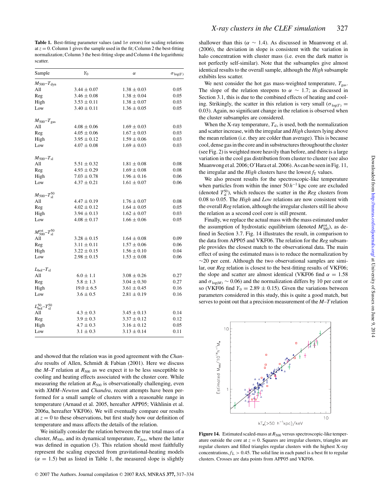**Table 1.** Best-fitting parameter values (and  $1\sigma$  errors) for scaling relations at  $z = 0$ . Column 1 gives the sample used in the fit; Column 2 the best-fitting normalization; Column 3 the best-fitting slope and Column 4 the logarithmic scatter.

| Sample                                      | $Y_0$           | $\alpha$        | $\sigma$ log(Y) |
|---------------------------------------------|-----------------|-----------------|-----------------|
| $M_{500} - T_{dyn}$                         |                 |                 |                 |
| All                                         | $3.44 \pm 0.07$ | $1.38 \pm 0.03$ | 0.05            |
| Reg                                         | $3.46 \pm 0.08$ | $1.38 \pm 0.04$ | 0.05            |
| High                                        | $3.53 \pm 0.11$ | $1.38 \pm 0.07$ | 0.03            |
| Low                                         | $3.40 \pm 0.11$ | $1.36 \pm 0.05$ | 0.05            |
| $M_{500} - T_{\text{gas}}$                  |                 |                 |                 |
| All                                         | $4.08 \pm 0.06$ | $1.69 \pm 0.03$ | 0.03            |
| Reg                                         | $4.05 \pm 0.06$ | $1.67 \pm 0.03$ | 0.03            |
| High                                        | $3.95 \pm 0.12$ | $1.59 \pm 0.06$ | 0.03            |
| Low                                         | $4.07 \pm 0.08$ | $1.69 \pm 0.03$ | 0.03            |
| $M_{500} - T_{\rm sl}$                      |                 |                 |                 |
| All                                         | $5.51 \pm 0.32$ | $1.81 \pm 0.08$ | 0.08            |
| Reg                                         | $4.93 \pm 0.29$ | $1.69 \pm 0.08$ | 0.08            |
| High                                        | $7.03 \pm 0.78$ | $1.96 \pm 0.16$ | 0.06            |
| Low                                         | $4.37 \pm 0.21$ | $1.61 \pm 0.07$ | 0.06            |
| $M_{500} - T_{\rm sl}^{50}$                 |                 |                 |                 |
| All                                         | $4.47 \pm 0.19$ | $1.76 \pm 0.07$ | 0.08            |
| Reg                                         | $4.02 \pm 0.12$ | $1.64 \pm 0.05$ | 0.05            |
| High                                        | $3.94 \pm 0.13$ | $1.62 \pm 0.07$ | 0.03            |
| Low                                         | $4.08 \pm 0.17$ | $1.66 \pm 0.06$ | 0.05            |
| $M_{500}^{\rm est}\text{--}T_{\rm sl}^{50}$ |                 |                 |                 |
| All                                         | $3.28 \pm 0.15$ | $1.64 \pm 0.08$ | 0.09            |
| Reg                                         | $3.11 \pm 0.11$ | $1.57 \pm 0.06$ | 0.06            |
| High                                        | $3.22 \pm 0.15$ | $1.56 \pm 0.10$ | 0.04            |
| Low                                         | $2.98 \pm 0.15$ | $1.53 \pm 0.08$ | 0.06            |
| $L_{bol} - T_{sl}$                          |                 |                 |                 |
| All                                         | $6.0 \pm 1.1$   | $3.08 \pm 0.26$ | 0.27            |
| Reg                                         | $5.8 \pm 1.3$   | $3.04 \pm 0.30$ | 0.27            |
| High                                        | $19.0 \pm 6.5$  | $3.61 \pm 0.45$ | 0.16            |
| Low                                         | $3.6 \pm 0.5$   | $2.81 \pm 0.19$ | 0.16            |
| $L_{\rm bol}^{50} - T_{\rm sl}^{50}$        |                 |                 |                 |
| All                                         | $4.3 \pm 0.3$   | $3.45 \pm 0.13$ | 0.14            |
| Reg                                         | $3.9 \pm 0.3$   | $3.37 \pm 0.12$ | 0.12            |
| High                                        | $4.7 \pm 0.3$   | $3.16 \pm 0.12$ | 0.05            |
| Low                                         | $3.1 \pm 0.3$   | $3.13 \pm 0.14$ | 0.11            |
|                                             |                 |                 |                 |

and showed that the relation was in good agreement with the *Chandra* results of Allen, Schmidt & Fabian (2001). Here we discuss the  $M-T$  relation at  $R_{500}$  as we expect it to be less susceptible to cooling and heating effects associated with the cluster core. While measuring the relation at  $R_{500}$  is observationally challenging, even with *XMM–Newton* and *Chandra*, recent attempts have been performed for a small sample of clusters with a reasonable range in temperature (Arnaud et al. 2005, hereafter APP05; Vikhlinin et al. 2006a, hereafter VKF06). We will eventually compare our results at  $z = 0$  to these observations, but first study how our definition of temperature and mass affects the details of the relation.

We initially consider the relation between the true total mass of a cluster,  $M_{500}$ , and its dynamical temperature,  $T_{dyn}$ , where the latter was defined in equation (3). This relation should most faithfully represent the scaling expected from gravitational-heating models  $(\alpha = 1.5)$  but as listed in Table 1, the measured slope is slightly

shallower than this ( $\alpha \sim 1.4$ ). As discussed in Muanwong et al. (2006), the deviation in slope is consistent with the variation in halo concentration with cluster mass (i.e. even the dark matter is not perfectly self-similar). Note that the subsamples give almost identical results to the overall sample, although the *High* subsample exhibits less scatter.

We next consider the hot gas mass-weighted temperature,  $T_{\text{gas}}$ . The slope of the relation steepens to  $\alpha \sim 1.7$ ; as discussed in Section 3.1, this is due to the combined effects of heating and cooling. Strikingly, the scatter in this relation is very small ( $\sigma_{\log(T)} =$ 0.03). Again, no significant change in the relation is observed when the cluster subsamples are considered.

When the X-ray temperature,  $T_{\rm sl}$ , is used, both the normalization and scatter increase, with the irregular and *High* clusters lying above the mean relation (i.e. they are colder than average). This is because cool, dense gas in the core and in substructures throughout the cluster (see Fig. 2) is weighted more heavily than before, and there is a large variation in the cool gas distribution from cluster to cluster (see also Muanwong et al. 2006; O'Hara et al. 2006). As can be seen in Fig. 11, the irregular and the *High* clusters have the lowest  $f<sub>T</sub>$  values.

We also present results for the spectroscopic-like temperature when particles from within the inner  $50 h^{-1}$  kpc core are excluded (denoted  $T_{\rm sl}^{50}$ ), which reduces the scatter in the *Reg* clusters from 0.08 to 0.05. The *High* and *Low* relations are now consistent with the overall *Reg* relation, although the irregular clusters still lie above the relation as a second cool core is still present.

Finally, we replace the actual mass with the mass estimated under the assumption of hydrostatic equilibrium (denoted  $M_{500}^{\text{est}}$ ), as defined in Section 3.7. Fig. 14 illustrates the result, in comparison to the data from APP05 and VKF06. The relation for the *Reg* subsample provides the closest match to the observational data. The main effect of using the estimated mass is to reduce the normalization by  $\sim$ 20 per cent. Although the two observational samples are similar, our *Reg* relation is closest to the best-fitting results of VKF06; the slope and scatter are almost identical (VKF06 find  $\alpha = 1.58$ ) and  $\sigma_{\log(M)} \sim 0.06$ ) and the normalization differs by 10 per cent or so (VKF06 find  $Y_0 = 2.89 \pm 0.15$ ). Given the variations between parameters considered in this study, this is quite a good match, but serves to point out that a precision measurement of the *M*–*T* relation



ature outside the core at  $z = 0$ . Squares are irregular clusters, triangles are regular clusters and filled triangles regular clusters with the highest X-ray concentrations,  $f_L > 0.45$ . The solid line in each panel is a best fit to regular

clusters. Crosses are data points from APP05 and VKF06.

Figure 14. Estimated scaled-mass at  $R_{500}$  versus spectroscopic-like temper-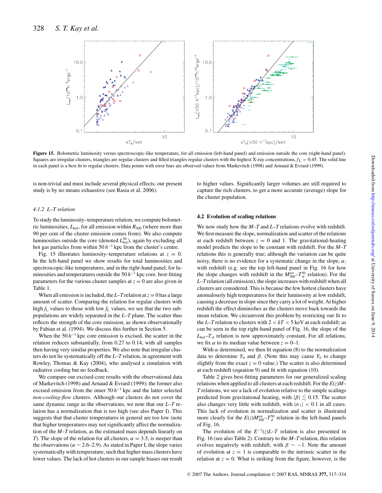

**Figure 15.** Bolometric luminosity versus spectroscopic-like temperature, for all emission (left-hand panel) and emission outside the core (right-hand panel). Squares are irregular clusters, triangles are regular clusters and filled triangles regular clusters with the highest X-ray concentrations,  $f<sub>L</sub> > 0.45$ . The solid line in each panel is a best fit to regular clusters. Data points with error bars are observed values from Markevitch (1998) and Arnaud & Evrard (1999).

is non-trivial and must include several physical effects; our present study is by no means exhaustive (see Rasia et al. 2006).

#### *4.1.2 L–T relation*

To study the luminosity–temperature relation, we compute bolometric luminosities,  $L_{bol}$ , for all emission within  $R_{500}$  (where more than 90 per cent of the cluster emission comes from). We also compute luminosities outside the core (denoted  $L_{bol}^{50}$ ), again by excluding all hot gas particles from within  $50 h^{-1}$  kpc from the cluster's centre.

Fig. 15 illustrates luminosity–temperature relations at  $z = 0$ . In the left-hand panel we show results for total luminosities and spectroscopic-like temperatures, and in the right-hand panel, for luminosities and temperatures outside the  $50 h^{-1}$  kpc core. best-fitting parameters for the various cluster samples at  $z = 0$  are also given in Table 1.

When all emission is included, the  $L-T$  relation at  $z = 0$  has a large amount of scatter. Comparing the relation for regular clusters with high  $f_L$  values to those with low  $f_L$  values, we see that the two subpopulations are widely separated in the *L*–*T* plane. The scatter thus reflects the strength of the core emission, as shown observationally by Fabian et al. (1994). We discuss this further in Section 5.

When the  $50 h^{-1}$  kpc core emission is excised, the scatter in the relation reduces substantially, from 0.27 to 0.14, with all samples then having very similar properties. We also note that irregular clusters do not lie systematically off the *L*–*T* relation, in agreement with Rowley, Thomas & Kay (2004), who analysed a simulation with radiative cooling but no feedback.

We compare our excised-core results with the observational data of Markevitch (1998) and Arnaud & Evrard (1999); the former also excised emission from the inner  $50 h^{-1}$  kpc and the latter selected *non-cooling-flow* clusters. Although our clusters do not cover the same dynamic range as the observations, we note that our *L*–*T* relation has a normalization that is too high (see also Paper I). This suggests that that cluster temperatures in general are too low (note that higher temperatures may not significantly affect the normalization of the *M*–*T* relation, as the estimated mass depends linearly on *T*). The slope of the relation for all clusters,  $\alpha = 3.5$ , is steeper than the observations ( $\alpha \sim 2.6-2.9$ ). As stated in Paper I, the slope varies systematically with temperature, such that higher mass clusters have lower values. The lack of hot clusters in our sample biases our result to higher values. Significantly larger volumes are still required to capture the rich clusters, to get a more accurate (average) slope for the cluster population.

#### **4.2 Evolution of scaling relations**

We now study how the *M*–*T* and *L*–*T* relations evolve with redshift. We first measure the slope, normalization and scatter of the relations at each redshift between  $z = 0$  and 1. The gravitational-heating model predicts the slope to be constant with redshift. For the *M*–*T* relations this is generally true; although the variation can be quite noisy, there is no evidence for a systematic change in the slope,  $\alpha$ , with redshift (e.g. see the top left-hand panel in Fig. 16 for how the slope changes with redshift in the  $M_{500}^{\text{est}}-T_{\text{sl}}^{50}$  relation). For the *L*–*T* relation (all emission), the slope increases with redshift when all clusters are considered. This is because the few hottest clusters have anomalously high temperatures for their luminosity at low redshift, causing a decrease in slope since they carry a lot of weight. At higher redshift the effect diminishes as the clusters move back towards the mean relation. We circumvent this problem by restricting our fit to the *L*–*T* relation to clusters with  $2 < kT < 5$  keV at each redshift; as can be seen in the top right-hand panel of Fig. 16, the slope of the  $L_{bol} - T_{sl}$  relation is now approximately constant. For all relations, we fix  $\alpha$  to its median value between  $z = 0-1$ .

With  $\alpha$  determined, we then fit equation (8) to the normalization data to determine  $Y_0$  and  $\beta$ . (Note this may cause  $Y_0$  to change slightly from the exact  $z = 0$  value.) The scatter is also determined at each redshift (equation 9) and fit with equation (10).

Table 2 gives best-fitting parameters for our generalized scaling relations when applied to all clusters at each redshift. For the *E*(*z*)*M*– *T* relations, we see a lack of evolution relative to the simple scalings predicted from gravitational heating, with  $|\beta| \lesssim 0.15$ . The scatter also changes very little with redshift, with  $|\sigma_1|$  < 0.1 in all cases. This lack of evolution in normalization and scatter is illustrated more clearly for the  $E(z)M_{500}^{\text{est}}-T_{\text{sl}}^{50}$  relation in the left-hand panels of Fig. 16.

The evolution of the  $E^{-1}(z)$ *L*–*T* relation is also presented in Fig. 16 (see also Table 2). Contrary to the *M*–*T* relation, this relation evolves negatively with redshift, with  $\beta \sim -1$ . Note the amount of evolution at  $z = 1$  is comparable to the intrinsic scatter in the relation at  $z = 0$ . What is striking from the figure, however, is the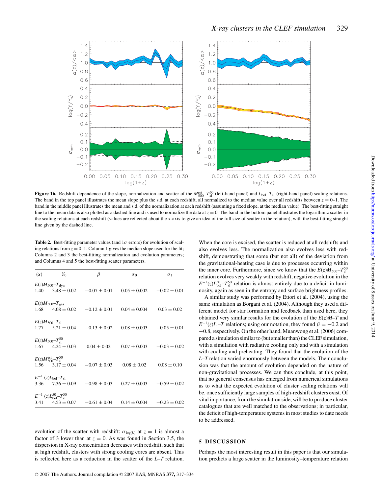

**Figure 16.** Redshift dependence of the slope, normalization and scatter of the  $M_{500}^{\text{est}} - T_{\text{sl}}^{\text{50}}$  (left-hand panel) and  $L_{\text{bol}} - T_{\text{sl}}$  (right-hand panel) scaling relations. The band in the top panel illustrates the mean slope plus the s.d. at each redshift, all normalized to the median value over all redshifts between  $z = 0-1$ . The band in the middle panel illustrates the mean and s.d. of the normalization at each redshift (assuming a fixed slope, at the median value). The best-fitting straight line to the mean data is also plotted as a dashed line and is used to normalize the data at  $z = 0$ . The band in the bottom panel illustrates the logarithmic scatter in the scaling relations at each redshift (values are reflected about the x-axis to give an idea of the full size of scatter in the relation), with the best-fitting straight line given by the dashed line.

**Table 2.** Best-fitting parameter values (and  $1\sigma$  errors) for evolution of scaling relations from  $z = 0-1$ . Column 1 gives the median slope used for the fit: Columns 2 and 3 the best-fitting normalization and evolution parameters; and Columns 4 and 5 the best-fitting scatter parameters.

| $\langle \alpha \rangle$ | $Y_0$                                                     | β                                       | $\sigma_0$       | $\sigma_1$                        |
|--------------------------|-----------------------------------------------------------|-----------------------------------------|------------------|-----------------------------------|
|                          | $E(z)M_{500}-T_{\rm dyn}$<br>$1.40 \qquad 3.48 \pm 0.02$  | $-0.07 \pm 0.01$                        |                  | $0.05 \pm 0.002$ $-0.02 \pm 0.01$ |
|                          | $E(z)M_{500}-T_{\rm gas}$                                 | $1.68$ $4.08 \pm 0.02$ $-0.12 \pm 0.01$ | $0.04 \pm 0.004$ | $0.03 \pm 0.02$                   |
|                          | $E(z)M_{500}-T_{\rm sl}$                                  | $1.77$ $5.21 \pm 0.04$ $-0.13 \pm 0.02$ |                  | $0.08 \pm 0.003$ $-0.05 \pm 0.01$ |
|                          | $E(z)M_{500} - T_{\rm sl}^{50}$<br>$1.67$ $4.24 \pm 0.03$ | $0.04 \pm 0.02$                         |                  | $0.07 \pm 0.003$ $-0.03 \pm 0.02$ |
|                          | $E(z)M_{500}^{\rm est}-T_{\rm sl}^{50}$                   | $1.56$ $3.17 \pm 0.04$ $-0.07 \pm 0.03$ | $0.08 \pm 0.02$  | $0.08 \pm 0.10$                   |
|                          | $E^{-1}$ (z) $L_{\text{bol}}-T_{\text{sl}}$               | 3.36 $7.36 \pm 0.09$ $-0.98 \pm 0.03$   |                  | $0.27 \pm 0.003$ $-0.59 \pm 0.02$ |
|                          | $E^{-1}$ (z) $L_{\text{bol}}^{50} - T_{\text{sl}}^{50}$   | 3.41 $4.53 \pm 0.07$ $-0.61 \pm 0.04$   | $0.14 \pm 0.004$ | $-0.23 \pm 0.02$                  |

evolution of the scatter with redshift:  $\sigma_{\log(L)}$  at  $z = 1$  is almost a factor of 3 lower than at  $z = 0$ . As was found in Section 3.5, the dispersion in X-ray concentration decreases with redshift, such that at high redshift, clusters with strong cooling cores are absent. This is reflected here as a reduction in the scatter of the *L*–*T* relation.

*L*–*T* relation varied enormously between the models. Their conclusion was that the amount of evolution depended on the nature of non-gravitational processes. We can thus conclude, at this point, that no general consensus has emerged from numerical simulations as to what the expected evolution of cluster scaling relations will

be, once sufficiently large samples of high-redshift clusters exist. Of vital importance, from the simulation side, will be to produce cluster catalogues that are well matched to the observations; in particular, the deficit of high-temperature systems in most studies to date needs to be addressed.

When the core is excised, the scatter is reduced at all redshifts and also evolves less. The normalization also evolves less with redshift, demonstrating that some (but not all) of the deviation from the gravitational-heating case is due to processes occurring within the inner core. Furthermore, since we know that the  $E(z)M_{500}-T_{\rm sl}^{50}$ relation evolves very weakly with redshift, negative evolution in the  $E^{-1}(z)L_{\text{bol}}^{50}$  –  $T_{\text{sl}}^{50}$  relation is almost entirely due to a deficit in luminosity, again as seen in the entropy and surface brightness profiles. A similar study was performed by Ettori et al. (2004), using the same simulation as Borgani et al. (2004). Although they used a different model for star formation and feedback than used here, they obtained very similar results for the evolution of the  $E(z)M-T$  and  $E^{-1}(z)L - T$  relations; using our notation, they found  $\beta = -0.2$  and −0.8, respectively. On the other hand, Muanwong et al. (2006) compared a simulation similar to (but smaller than) the CLEF simulation, with a simulation with radiative cooling only and with a simulation with cooling and preheating. They found that the evolution of the

#### **5 DISCUSSION**

Perhaps the most interesting result in this paper is that our simulation predicts a large scatter in the luminosity–temperature relation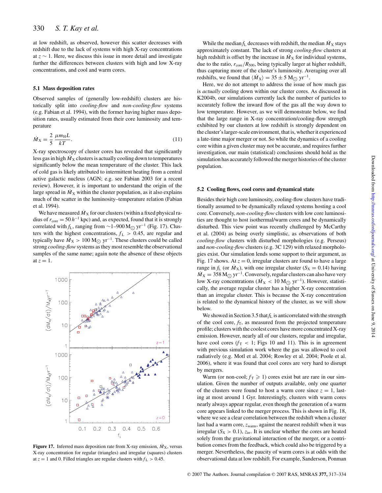at low redshift, as observed, however this scatter decreases with redshift due to the lack of systems with high X-ray concentrations at *z* ∼ 1. Here, we discuss this issue in more detail and investigate further the differences between clusters with high and low X-ray concentrations, and cool and warm cores.

#### **5.1 Mass deposition rates**

Observed samples of (generally low-redshift) clusters are historically split into *cooling-flow* and *non-cooling-flow* systems (e.g. Fabian et al. 1994), with the former having higher mass deposition rates, usually estimated from their core luminosity and temperature

$$
\dot{M}_{\rm X} = \frac{2}{5} \frac{\mu m_{\rm H} L}{kT}.
$$
\n(11)

X-ray spectroscopy of cluster cores has revealed that significantly less gas in high  $\dot{M}_{\rm X}$  clusters is actually cooling down to temperatures significantly below the mean temperature of the cluster. This lack of cold gas is likely attributed to intermittent heating from a central active galactic nucleus (AGN; e.g. see Fabian 2003 for a recent review). However, it is important to understand the origin of the large spread in  $\dot{M}_X$  within the cluster population, as it also explains much of the scatter in the luminosity–temperature relation (Fabian et al. 1994).

We have measured  $\dot{M}_\mathrm{X}$  for our clusters (within a fixed physical radius of  $r_{\text{core}} = 50 h^{-1}$  kpc) and, as expected, found that it is strongly correlated with *f*<sub>L</sub>, ranging from ~1–900 M<sub>☉</sub> yr<sup>-1</sup> (Fig. 17). Clus-<br>term with the highest expectations for a 0.45 are results and ters with the highest concentrations,  $f_{\rm L} > 0.45$ , are regular and typically have  $M_X > 100 \text{ M}_{\odot} \text{ yr}^{-1}$ . These clusters could be called strong *cooling-flow*systems as they most resemble the observational samples of the same name; again note the absence of these objects at  $z = 1$ .



**Figure 17.** Inferred mass deposition rate from X-ray emission,  $\dot{M}_{\rm X}$ , versus X-ray concentration for regular (triangles) and irregular (squares) clusters at  $z = 1$  and 0. Filled triangles are regular clusters with  $f<sub>L</sub> > 0.45$ .

While the median  $f_L$  decreases with redshift, the median  $\dot{M}_X$  stays approximately constant. The lack of strong *cooling-flow* clusters at high redshift is offset by the increase in  $\dot{M}_X$  for individual systems, due to the ratio,  $r_{\text{core}}/R_{500}$ , being typically larger at higher redshift, thus capturing more of the cluster's luminosity. Averaging over all redshifts, we found that  $\langle M_X \rangle = 35 \pm 5$  M<sub>☉</sub> yr<sup>-1</sup>.

Here, we do not attempt to address the issue of how much gas is *actually* cooling down within our cluster cores. As discussed in K2004b, our simulations currently lack the number of particles to accurately follow the inward flow of the gas all the way down to low temperature. However, as we will demonstrate below, we find that the large range in X-ray concentration/cooling-flow strength exhibited by our clusters at low redshift is strongly dependent on the cluster's larger-scale environment, that is, whether it experienced a late-time major merger or not. So while the dynamics of a cooling core within a given cluster may not be accurate, and requires further investigation, our main (statistical) conclusions should hold as the simulation has accurately followed the merger histories of the cluster population.

#### **5.2 Cooling flows, cool cores and dynamical state**

Besides their high core luminosity, cooling-flow clusters have traditionally assumed to be dynamically relaxed systems hosting a cool core. Conversely, *non-cooling-flow* clusters with low core luminosities are thought to host isothermal/warm cores and be dynamically disturbed. This view point was recently challenged by McCarthy et al. (2004) as being overly simplistic, as observations of both *cooling-flow* clusters with disturbed morphologies (e.g. Perseus) and *non-cooling-flow* clusters (e.g. 3C 129) with relaxed morphologies exist. Our simulation lends some support to their argument, as Fig. 17 shows. At  $z = 0$ , irregular clusters are found to have a large range in  $f_L$  (or  $M_X$ ), with one irregular cluster ( $S_X = 0.14$ ) having  $M_X = 358 \,\mathrm{M}_{\odot} \,\mathrm{yr}^{-1}$ . Conversely, regular clusters can also have very low X-ray concentrations ( $\dot{M}_X < 10 \text{ M}_{\odot}$  yr<sup>-1</sup>). However, statisti-<br>selly the survey a graphy cluster has a higher Y was approximation cally, the average regular cluster has a higher X-ray concentration than an irregular cluster. This is because the X-ray concentration is related to the dynamical history of the cluster, as we will show below.

We showed in Section 3.5 that  $f_L$  is anticorrelated with the strength of the cool core,  $f<sub>T</sub>$ , as measured from the projected temperature profile; clusters with the coolest cores have more concentrated X-ray emission. However, nearly all of our clusters, regular and irregular, have cool cores  $(f<sub>T</sub> < 1$ ; Figs 10 and 11). This is in agreement with previous simulation work where the gas was allowed to cool radiatively (e.g. Motl et al. 2004; Rowley et al. 2004; Poole et al. 2006), where it was found that cool cores are very hard to disrupt by mergers.

Warm (or non-cool;  $f<sub>T</sub> \ge 1$ ) cores exist but are rare in our simulation. Given the number of outputs available, only one quarter of the clusters were found to host a warm core since  $z = 1$ , lasting at most around 1 Gyr. Interestingly, clusters with warm cores nearly always appear regular, even though the generation of a warm core appears linked to the merger process. This is shown in Fig. 18, where we see a clear correlation between the redshift when a cluster last had a warm core, *z*warm, against the nearest redshift when it was irregular ( $S_X > 0.1$ ),  $z_{irr}$ . It is unclear whether the cores are heated solely from the gravitational interaction of the merger, or a contribution comes from the feedback, which could also be triggered by a merger. Nevertheless, the paucity of warm cores is at odds with the observational data at low redshift. For example, Sanderson, Ponman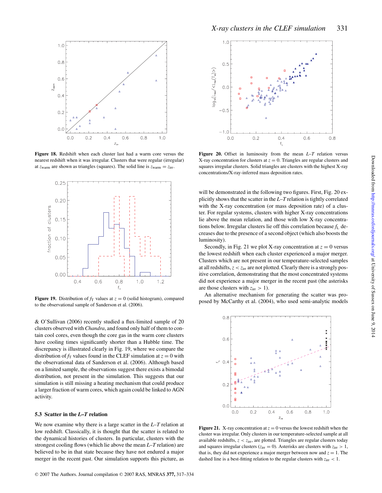

**Figure 18.** Redshift when each cluster last had a warm core versus the nearest redshift when it was irregular. Clusters that were regular (irregular) at  $z_{warm}$  are shown as triangles (squares). The solid line is  $z_{warm} = z_{irr}$ .



**Figure 19.** Distribution of  $f<sub>T</sub>$  values at  $z = 0$  (solid histogram), compared to the observational sample of Sanderson et al. (2006).

& O'Sullivan (2006) recently studied a flux-limited sample of 20 clusters observed with *Chandra*, and found only half of them to contain cool cores, even though the core gas in the warm core clusters have cooling times significantly shorter than a Hubble time. The discrepancy is illustrated clearly in Fig. 19, where we compare the distribution of  $f<sub>T</sub>$  values found in the CLEF simulation at  $z = 0$  with the observational data of Sanderson et al. (2006). Although based on a limited sample, the observations suggest there exists a bimodal distribution, not present in the simulation. This suggests that our simulation is still missing a heating mechanism that could produce a larger fraction of warm cores, which again could be linked to AGN activity.

#### **5.3 Scatter in the** *L***–***T* **relation**

We now examine why there is a large scatter in the *L*–*T* relation at low redshift. Classically, it is thought that the scatter is related to the dynamical histories of clusters. In particular, clusters with the strongest cooling flows (which lie above the mean *L*–*T* relation) are believed to be in that state because they have not endured a major merger in the recent past. Our simulation supports this picture, as



**Figure 20.** Offset in luminosity from the mean *L*–*T* relation versus X-ray concentration for clusters at  $z = 0$ . Triangles are regular clusters and squares irregular clusters. Solid triangles are clusters with the highest X-ray concentrations/X-ray-inferred mass deposition rates.

will be demonstrated in the following two figures. First, Fig. 20 explicitly shows that the scatter in the *L*–*T* relation is tightly correlated with the X-ray concentration (or mass deposition rate) of a cluster. For regular systems, clusters with higher X-ray concentrations lie above the mean relation, and those with low X-ray concentrations below. Irregular clusters lie off this correlation because *f*<sup>L</sup> decreases due to the presence of a second object (which also boosts the luminosity).

Secondly, in Fig. 21 we plot X-ray concentration at  $z = 0$  versus the lowest redshift when each cluster experienced a major merger. Clusters which are not present in our temperature-selected samples at all redshifts,  $z < z_{irr}$  are not plotted. Clearly there is a strongly positive correlation, demonstrating that the most concentrated systems did not experience a major merger in the recent past (the asterisks are those clusters with  $z_{irr} > 1$ ).

An alternative mechanism for generating the scatter was proposed by McCarthy et al. (2004), who used semi-analytic models



**Figure 21.** X-ray concentration at  $z = 0$  versus the lowest redshift when the cluster was irregular. Only clusters in our temperature-selected sample at all available redshifts, *z* < *z*irr, are plotted. Triangles are regular clusters today and squares irregular clusters ( $z_{irr} = 0$ ). Asterisks are clusters with  $z_{irr} > 1$ , that is, they did not experience a major merger between now and  $z = 1$ . The dashed line is a best-fitting relation to the regular clusters with  $z_{\text{irr}} < 1$ .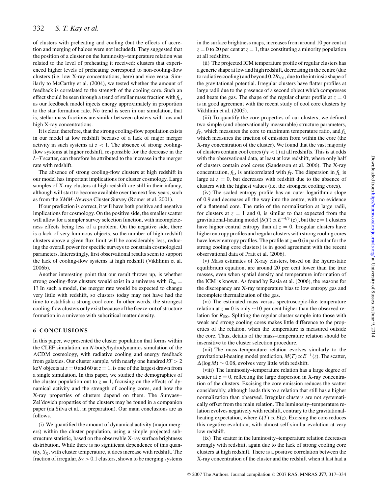of clusters with preheating and cooling (but the effects of accretion and merging of haloes were not included). They suggested that the position of a cluster on the luminosity–temperature relation was related to the level of preheating it received: clusters that experienced higher levels of preheating correspond to non-cooling-flow clusters (i.e. low X-ray concentrations, here) and vice versa. Similarly to McCarthy et al. (2004), we tested whether the amount of feedback is correlated to the strength of the cooling core. Such an effect should be seen through a trend of stellar mass fraction with *f*L, as our feedback model injects energy approximately in proportion to the star formation rate. No trend is seen in our simulation, that is, stellar mass fractions are similar between clusters with low and high X-ray concentrations.

It is clear, therefore, that the strong cooling-flow population exists in our model at low redshift because of a lack of major merger activity in such systems at  $z < 1$ . The absence of strong coolingflow systems at higher redshift, responsible for the decrease in the *L*–*T* scatter, can therefore be attributed to the increase in the merger rate with redshift.

The absence of strong cooling-flow clusters at high redshift in our model has important implications for cluster cosmology. Large samples of X-ray clusters at high redshift are still in their infancy, although will start to become available over the next few years, such as from the *XMM–Newton* Cluster Survey (Romer et al. 2001).

If our prediction is correct, it will have both positive and negative implications for cosmology. On the positive side, the smaller scatter will allow for a simpler survey selection function, with incompleteness effects being less of a problem. On the negative side, there is a lack of very luminous objects, so the number of high-redshift clusters above a given flux limit will be considerably less, reducing the overall power for specific surveys to constrain cosmological parameters. Interestingly, first observational results seem to support the lack of cooling-flow systems at high redshift (Vikhlinin et al. 2006b).

Another interesting point that our result throws up, is whether strong cooling-flow clusters would exist in a universe with  $\Omega_{\rm m} =$ 1? In such a model, the merger rate would be expected to change very little with redshift, so clusters today may not have had the time to establish a strong cool core. In other words, the strongest cooling-flow clusters only exist because of the freeze-out of structure formation in a universe with subcritical matter density.

#### **6 CONCLUSIONS**

In this paper, we presented the cluster population that forms within the CLEF simulation, an *N*-body/hydrodynamics simulation of the CDM cosmology, with radiative cooling and energy feedback from galaxies. Our cluster sample, with nearly one hundred  $kT > 2$ keV objects at  $z = 0$  and 60 at  $z = 1$ , is one of the largest drawn from a single simulation. In this paper, we studied the demographics of the cluster population out to  $z = 1$ , focusing on the effects of dynamical activity and the strength of cooling cores, and how the X-ray properties of clusters depend on them. The Sunyaev– Zel'dovich properties of the clusters may be found in a companion paper (da Silva et al., in preparation). Our main conclusions are as follows.

(i) We quantified the amount of dynamical activity (major mergers) within the cluster population, using a simple projected substructure statistic, based on the observable X-ray surface brightness distribution. While there is no significant dependence of this quantity,  $S_X$ , with cluster temperature, it does increase with redshift. The fraction of irregular,  $S_X > 0.1$  clusters, shown to be merging systems

in the surface brightness maps, increases from around 10 per cent at  $z = 0$  to 20 per cent at  $z = 1$ , thus constituting a minority population at all redshifts.

(ii) The projected ICM temperature profile of regular clusters has a generic shape at low and high redshift, decreasing in the centre (due to radiative cooling) and beyond  $0.2R_{500}$ , due to the intrinsic shape of the gravitational potential. Irregular clusters have flatter profiles at large radii due to the presence of a second object which compresses and heats the gas. The shape of the regular cluster profile at  $z = 0$ is in good agreement with the recent study of cool core clusters by Vikhlinin et al. (2005).

(iii) To quantify the core properties of our clusters, we defined two simple (and observationally measurable) structure parameters,  $f<sub>T</sub>$ , which measures the core to maximum temperature ratio, and  $f<sub>L</sub>$ which measures the fraction of emission from within the core (the X-ray concentration of the cluster). We found that the vast majority of clusters contain cool cores  $(f<sub>T</sub> < 1)$  at all redshifts. This is at odds with the observational data, at least at low redshift, where only half of clusters contain cool cores (Sanderson et al. 2006). The X-ray concentration,  $f_L$ , is anticorrelated with  $f_T$ . The dispersion in  $f_L$  is large at  $z = 0$ , but decreases with redshift due to the absence of clusters with the highest values (i.e. the strongest cooling cores).

(iv) The scaled entropy profile has an outer logarithmic slope of 0.9 and decreases all the way into the centre, with no evidence of a flattened core. The ratio of the normalization at large radii, for clusters at  $z = 1$  and 0, is similar to that expected from the gravitational-heating model  $[S(T) \propto E^{-4/3} (z)]$ , but the  $z = 1$  clusters have higher central entropy than at  $z = 0$ . Irregular clusters have higher entropy profiles and regular clusters with strong cooling cores have lower entropy profiles. The profile at  $z = 0$  (in particular for the strong cooling core clusters) is in good agreement with the recent observational data of Pratt et al. (2006).

(v) Mass estimates of X-ray clusters, based on the hydrostatic equilibrium equation, are around 20 per cent lower than the true masses, even when spatial density and temperature information of the ICM is known. As found by Rasia et al. (2006), the reasons for the discrepancy are X-ray temperature bias to low entropy gas and incomplete thermalization of the gas.

(vi) The estimated mass versus spectroscopic-like temperature relation at  $z = 0$  is only  $\sim$ 10 per cent higher than the observed relation for  $R_{500}$ . Splitting the regular cluster sample into those with weak and strong cooling cores makes little difference to the properties of the relation, when the temperature is measured outside the core. Thus, details of the mass–temperature relation should be insensitive to the cluster selection procedure.

(vii) The mass–temperature relation evolves similarly to the gravitational-heating model prediction,  $M(T) \propto E^{-1}(z)$ . The scatter,  $\Delta(\log M) \sim 0.08$ , evolves very little with redshift.

(viii) The luminosity–temperature relation has a large degree of scatter at  $z = 0$ , reflecting the large dispersion in X-ray concentration of the clusters. Excising the core emission reduces the scatter considerably, although leads this to a relation that still has a higher normalization than observed. Irregular clusters are not systematically offset from the main relation. The luminosity–temperature relation evolves negatively with redshift, contrary to the gravitationalheating expectation, where  $L(T) \propto E(z)$ . Excising the core reduces this negative evolution, with almost self-similar evolution at very low redshift.

(ix) The scatter in the luminosity–temperature relation decreases strongly with redshift, again due to the lack of strong cooling core clusters at high redshift. There is a positive correlation between the X-ray concentration of the cluster and the redshift when it last had a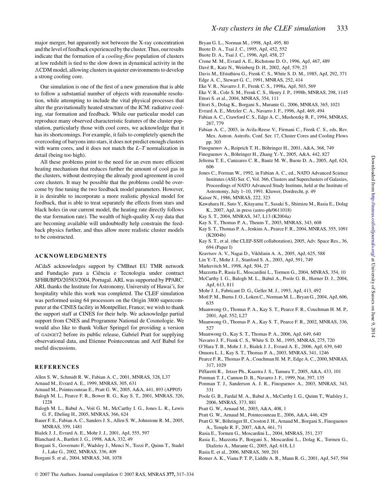major merger, but apparently not between the X-ray concentration and the level of feedback experienced by the cluster. Thus, our results indicate that the formation of a *cooling-flow* population of clusters at low redshift is tied to the slow down in dynamical activity in the CDM model, allowing clusters in quieter environments to develop a strong cooling core.

Our simulation is one of the first of a new generation that is able to follow a substantial number of objects with reasonable resolution, while attempting to include the vital physical processes that alter the gravitationally heated structure of the ICM: radiative cooling, star formation and feedback. While our particular model can reproduce many observed characteristic features of the cluster population, particularly those with cool cores, we acknowledge that it has its shortcomings. For example, it fails to completely quench the overcooling of baryons into stars, it does not predict enough clusters with warm cores, and it does not match the *L*–*T* normalization in detail (being too high).

All these problems point to the need for an even more efficient heating mechanism that reduces further the amount of cool gas in the clusters, without destroying the already good agreement in cool core clusters. It may be possible that the problems could be overcome by fine tuning the two feedback model parameters. However, it is desirable to incorporate a more realistic physical model for feedback, that is able to treat separately the effects from stars and black holes (in our current model, the heating rate directly follows the star formation rate). The wealth of high-quality X-ray data that are becoming available will undoubtedly help constrain the feedback physics further, and thus allow more realistic cluster models to be constructed.

#### **ACKNOWLEDGMENTS**

ACdaS acknowledges support by CMBnet EU TMR network and Fundação para a Ciência e Tecnologia under contract SFHR/BPD/20583/2004, Portugal. ARL was supported by PPARC. ARL thanks the Institute for Astronomy, University of Hawai'i, for hospitality while this work was completed. The CLEF simulation was performed using 64 processors on the Origin 3800 supercomputer at the CINES facility in Montpellier, France; we wish to thank the support staff at CINES for their help. We acknowledge partial support from CNES and Programme National de Cosmologie. We would also like to thank Volker Springel for providing a version of GADGET2 before its public release, Gabriel Pratt for supplying observational data, and Etienne Pointecouteau and Arif Babul for useful discussions.

#### **REFERENCES**

- Allen S. W., Schmidt R. W., Fabian A. C., 2001, MNRAS, 328, L37
- Arnaud M., Evrard A. E., 1999, MNRAS, 305, 631
- Arnaud M., Pointecouteau E., Pratt G. W., 2005, A&A, 441, 893 (APP05)
- Balogh M. L., Pearce F. R., Bower R. G., Kay S. T., 2001, MNRAS, 326, 1228
- Balogh M. L., Babul A., Voit G. M., McCarthy I. G., Jones L. R., Lewis G. F., Ebeling H., 2005, MNRAS, 366, 624
- Bauer F. E., Fabian A. C., Sanders J. S., Allen S. W., Johnstone R. M., 2005, MNRAS, 359, 1481
- Bialek J. J., Evrard A. E., Mohr J. J., 2001, ApJ, 555, 597
- Blanchard A., Bartlett J. G., 1998, A&A, 332, 49
- Borgani S., Governato F., Wadsley J., Menci N., Tozzi P., Quinn T., Stadel J., Lake G., 2002, MNRAS, 336, 409
- Borgani S. et al., 2004, MNRAS, 348, 1078
- Bryan G. L., Norman M., 1998, ApJ, 495, 80
- Buote D. A., Tsai J. C., 1995, ApJ, 452, 552
- Buote D. A., Tsai J. C., 1996, ApJ, 458, 27
- Crone M. M., Evrard A. E., Richstone D. O., 1996, ApJ, 467, 489
- Davé R., Katz N., Weinberg D. H., 2002, ApJ, 579, 23
- Davis M., Efstathiou G., Frenk C. S., White S. D. M., 1985, ApJ, 292, 371
- Edge A. C., Stewart G. C., 1991, MNRAS, 252, 414
- Eke V. R., Navarro J. F., Frenk C. S., 1998a, ApJ, 503, 569
- Eke V. R., Cole S. M., Frenk C. S., Henry J. P., 1998b, MNRAS, 298, 1145 Ettori S. et al., 2004, MNRAS, 354, 111
- Ettori S., Dolag K., Borgani S., Murante G., 2006, MNRAS, 365, 1021
- Evrard A. E., Metzler C. A., Navarro J. F., 1996, ApJ, 469, 494
- Fabian A. C., Crawford C. S., Edge A. C., Mushotzky R. F., 1994, MNRAS, 267, 779
- Fabian A. C., 2003, in Avila-Reese V., Firmani C., Frenk C. S., eds, Rev. Mex. Astron. Astrofis. Conf. Ser. 17, Cluster Cores and Cooling Flows pp. 303
- Finoguenov A., Reiprich T. H., Böhringer H., 2001, A&A, 368, 749
- Finoguenov A., Böhringer H., Zhang Y.-Y., 2005, A&A, 442, 827
- Jeltema T. E., Canizares C. R., Bautz M. W., Buote D. A., 2005, ApJ, 624, 606
- Jones C., Forman W., 1992, in Fabian A. C., ed., NATO Advanced Science Institutes (ASI) Ser. C, Vol. 366, Clusters and Superclusters of Galaxies, Proceedings of NATO Advanced Study Institute, held at the Institute of Astronomy, July 1–10, 1991. Kluwer, Dordrecht, p. 49
- Kaiser N., 1986, MNRAS, 222, 323
- Kawahara H., Suto Y., Kitayama T., Sasaki S., Shimizu M., Rasia E., Dolag K., 2007, ApJ, in press (astro-ph/0611018)
- Kay S. T., 2004, MNRAS, 347, L13 (K2004a)
- Kay S. T., Thomas P. A., Theuns T., 2003, MNRAS, 343, 608
- Kay S. T., Thomas P. A., Jenkins A., Pearce F. R., 2004, MNRAS, 355, 1091 (K2004b)
- Kay S. T., et al. (the CLEF-SSH collaboration), 2005, Adv. Space Res., 36, 694 (Paper I)
- Kravtsov A. V., Nagai D., Vikhlinin A. A., 2005, ApJ, 625, 588
- Lin Y.-T., Mohr J. J., Stanford S. A., 2003, ApJ, 591, 749
- Markevitch M., 1998, ApJ, 504, 27
- Mazzotta P., Rasia E., Moscardini L., Tormen G., 2004, MNRAS, 354, 10 McCarthy I. G., Balogh M. L., Babul A., Poole G. B., Horner D. J., 2004,
- ApJ, 613, 811
- Mohr J. J., Fabricant D. G., Geller M. J., 1993, ApJ, 413, 492
- Motl P. M., Burns J. O., Loken C., Norman M. L., Bryan G., 2004, ApJ, 606, 635
- Muanwong O., Thomas P. A., Kay S. T., Pearce F. R., Couchman H. M. P., 2001, ApJ, 552, L27
- Muanwong O., Thomas P. A., Kay S. T., Pearce F. R., 2002, MNRAS, 336, 527
- Muanwong O., Kay S. T., Thomas P. A., 2006, ApJ, 649, 640
- Navarro J. F., Frenk C. S., White S. D. M., 1995, MNRAS, 275, 720
- O'Hara T. B., Mohr J. J., Bialek J. J., Evrard A. E., 2006, ApJ, 639, 640
- Onuora L. I., Kay S. T., Thomas P. A., 2003, MNRAS, 341, 1246
- Pearce F. R., Thomas P. A., Couchman H. M. P., Edge A. C., 2000, MNRAS, 317, 1029
- Piffaretti R., Jetzer Ph., Kaastra J. S., Tamura T., 2005, A&A, 433, 101
- Ponman T. J., Cannon D. B., Navarro J. F., 1999, Nat, 397, 135
- Ponman T. J., Sanderson A. J. R., Finoguenov A., 2003, MNRAS, 343, 331
- Poole G. B., Fardal M. A., Babul A., McCarthy I. G., Quinn T., Wadsley J., 2006, MNRAS, 373, 881
- Pratt G. W., Arnaud M., 2003, A&A, 408, 1
- Pratt G. W., Arnaud M., Pointecouteau E., 2006, A&A, 446, 429
- Pratt G. W., Böhringer H., Croston J. H., Arnaud M., Borgani S., Finoguenov A., Temple R. F., 2007, A&A, 461, 71
- Rasia E., Tormen G., Moscardini L., 2004, MNRAS, 351, 237
- Rasia E., Mazzotta P., Borgani S., Moscardini L., Dolag K., Tormen G., Diaferio A., Murante G., 2005, ApJ, 618, L1
- Rasia E. et al., 2006, MNRAS, 369, 201
- Romer A. K., Viana P. T. P., Liddle A. R., Mann R. G., 2001, ApJ, 547, 594